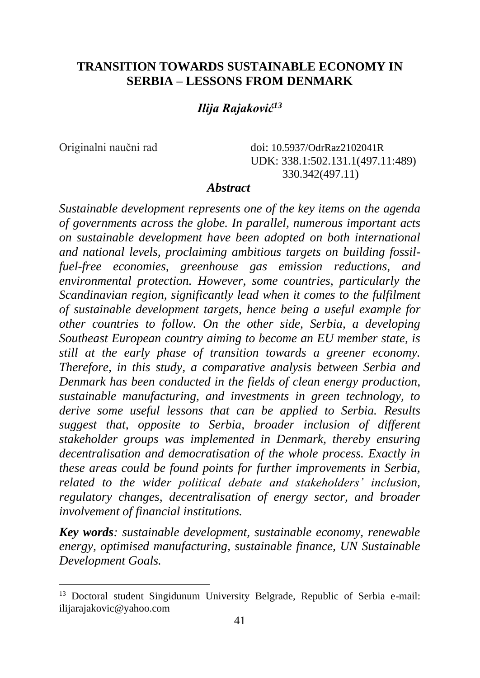## **TRANSITION TOWARDS SUSTAINABLE ECONOMY IN SERBIA – LESSONS FROM DENMARK**

### *Ilija Rajaković<sup>13</sup>*

Originalni naučni rad doi: 10.5937/OdrRaz2102041R UDK: 338.1:502.131.1(497.11:489) 330.342(497.11)

#### *Abstract*

*Sustainable development represents one of the key items on the agenda of governments across the globe. In parallel, numerous important acts on sustainable development have been adopted on both international and national levels, proclaiming ambitious targets on building fossilfuel-free economies, greenhouse gas emission reductions, and environmental protection. However, some countries, particularly the Scandinavian region, significantly lead when it comes to the fulfilment of sustainable development targets, hence being a useful example for other countries to follow. On the other side, Serbia, a developing Southeast European country aiming to become an EU member state, is still at the early phase of transition towards a greener economy. Therefore, in this study, a comparative analysis between Serbia and Denmark has been conducted in the fields of clean energy production, sustainable manufacturing, and investments in green technology, to derive some useful lessons that can be applied to Serbia. Results suggest that, opposite to Serbia, broader inclusion of different stakeholder groups was implemented in Denmark, thereby ensuring decentralisation and democratisation of the whole process. Exactly in these areas could be found points for further improvements in Serbia, related to the wider political debate and stakeholders' inclusion, regulatory changes, decentralisation of energy sector, and broader involvement of financial institutions.*

*Key words: sustainable development, sustainable economy, renewable energy, optimised manufacturing, sustainable finance, UN Sustainable Development Goals.*

<sup>&</sup>lt;sup>13</sup> Doctoral student Singidunum University Belgrade, Republic of Serbia e-mail: ilijarajakovic@yahoo.com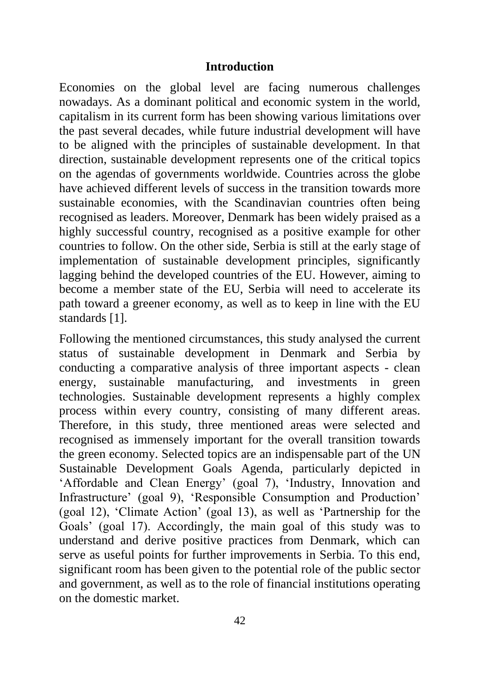#### **Introduction**

Economies on the global level are facing numerous challenges nowadays. As a dominant political and economic system in the world, capitalism in its current form has been showing various limitations over the past several decades, while future industrial development will have to be aligned with the principles of sustainable development. In that direction, sustainable development represents one of the critical topics on the agendas of governments worldwide. Countries across the globe have achieved different levels of success in the transition towards more sustainable economies, with the Scandinavian countries often being recognised as leaders. Moreover, Denmark has been widely praised as a highly successful country, recognised as a positive example for other countries to follow. On the other side, Serbia is still at the early stage of implementation of sustainable development principles, significantly lagging behind the developed countries of the EU. However, aiming to become a member state of the EU, Serbia will need to accelerate its path toward a greener economy, as well as to keep in line with the EU standards [1].

Following the mentioned circumstances, this study analysed the current status of sustainable development in Denmark and Serbia by conducting a comparative analysis of three important aspects - clean energy, sustainable manufacturing, and investments in green technologies. Sustainable development represents a highly complex process within every country, consisting of many different areas. Therefore, in this study, three mentioned areas were selected and recognised as immensely important for the overall transition towards the green economy. Selected topics are an indispensable part of the UN Sustainable Development Goals Agenda, particularly depicted in 'Affordable and Clean Energy' (goal 7), 'Industry, Innovation and Infrastructure' (goal 9), 'Responsible Consumption and Production' (goal 12), 'Climate Action' (goal 13), as well as 'Partnership for the Goals' (goal 17). Accordingly, the main goal of this study was to understand and derive positive practices from Denmark, which can serve as useful points for further improvements in Serbia. To this end, significant room has been given to the potential role of the public sector and government, as well as to the role of financial institutions operating on the domestic market.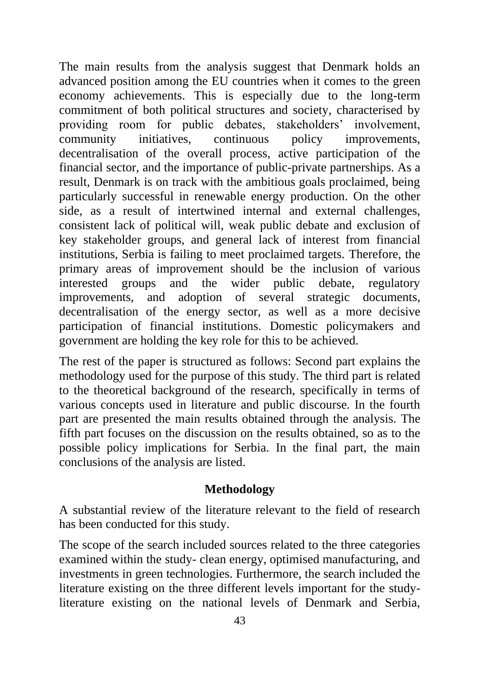The main results from the analysis suggest that Denmark holds an advanced position among the EU countries when it comes to the green economy achievements. This is especially due to the long-term commitment of both political structures and society, characterised by providing room for public debates, stakeholders' involvement, community initiatives, continuous policy improvements, decentralisation of the overall process, active participation of the financial sector, and the importance of public-private partnerships. As a result, Denmark is on track with the ambitious goals proclaimed, being particularly successful in renewable energy production. On the other side, as a result of intertwined internal and external challenges, consistent lack of political will, weak public debate and exclusion of key stakeholder groups, and general lack of interest from financial institutions, Serbia is failing to meet proclaimed targets. Therefore, the primary areas of improvement should be the inclusion of various interested groups and the wider public debate, regulatory improvements, and adoption of several strategic documents, decentralisation of the energy sector, as well as a more decisive participation of financial institutions. Domestic policymakers and government are holding the key role for this to be achieved.

The rest of the paper is structured as follows: Second part explains the methodology used for the purpose of this study. The third part is related to the theoretical background of the research, specifically in terms of various concepts used in literature and public discourse. In the fourth part are presented the main results obtained through the analysis. The fifth part focuses on the discussion on the results obtained, so as to the possible policy implications for Serbia. In the final part, the main conclusions of the analysis are listed.

## **Methodology**

A substantial review of the literature relevant to the field of research has been conducted for this study.

The scope of the search included sources related to the three categories examined within the study- clean energy, optimised manufacturing, and investments in green technologies. Furthermore, the search included the literature existing on the three different levels important for the studyliterature existing on the national levels of Denmark and Serbia,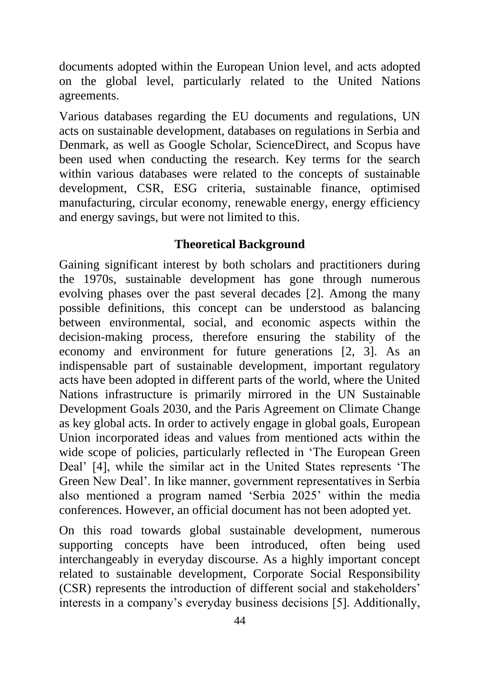documents adopted within the European Union level, and acts adopted on the global level, particularly related to the United Nations agreements.

Various databases regarding the EU documents and regulations, UN acts on sustainable development, databases on regulations in Serbia and Denmark, as well as Google Scholar, ScienceDirect, and Scopus have been used when conducting the research. Key terms for the search within various databases were related to the concepts of sustainable development, CSR, ESG criteria, sustainable finance, optimised manufacturing, circular economy, renewable energy, energy efficiency and energy savings, but were not limited to this.

### **Theoretical Background**

Gaining significant interest by both scholars and practitioners during the 1970s, sustainable development has gone through numerous evolving phases over the past several decades [2]. Among the many possible definitions, this concept can be understood as balancing between environmental, social, and economic aspects within the decision-making process, therefore ensuring the stability of the economy and environment for future generations [2, 3]. As an indispensable part of sustainable development, important regulatory acts have been adopted in different parts of the world, where the United Nations infrastructure is primarily mirrored in the UN Sustainable Development Goals 2030, and the Paris Agreement on Climate Change as key global acts. In order to actively engage in global goals, European Union incorporated ideas and values from mentioned acts within the wide scope of policies, particularly reflected in 'The European Green Deal' [4], while the similar act in the United States represents 'The Green New Deal'. In like manner, government representatives in Serbia also mentioned a program named 'Serbia 2025' within the media conferences. However, an official document has not been adopted yet.

On this road towards global sustainable development, numerous supporting concepts have been introduced, often being used interchangeably in everyday discourse. As a highly important concept related to sustainable development, Corporate Social Responsibility (CSR) represents the introduction of different social and stakeholders' interests in a company's everyday business decisions [5]. Additionally,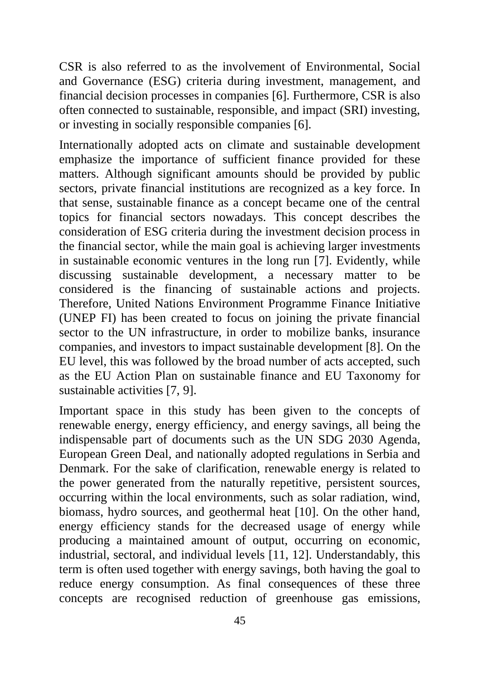CSR is also referred to as the involvement of Environmental, Social and Governance (ESG) criteria during investment, management, and financial decision processes in companies [6]. Furthermore, CSR is also often connected to sustainable, responsible, and impact (SRI) investing, or investing in socially responsible companies [6].

Internationally adopted acts on climate and sustainable development emphasize the importance of sufficient finance provided for these matters. Although significant amounts should be provided by public sectors, private financial institutions are recognized as a key force. In that sense, sustainable finance as a concept became one of the central topics for financial sectors nowadays. This concept describes the consideration of ESG criteria during the investment decision process in the financial sector, while the main goal is achieving larger investments in sustainable economic ventures in the long run [7]. Evidently, while discussing sustainable development, a necessary matter to be considered is the financing of sustainable actions and projects. Therefore, United Nations Environment Programme Finance Initiative (UNEP FI) has been created to focus on joining the private financial sector to the UN infrastructure, in order to mobilize banks, insurance companies, and investors to impact sustainable development [8]. On the EU level, this was followed by the broad number of acts accepted, such as the EU Action Plan on sustainable finance and EU Taxonomy for sustainable activities [7, 9].

Important space in this study has been given to the concepts of renewable energy, energy efficiency, and energy savings, all being the indispensable part of documents such as the UN SDG 2030 Agenda, European Green Deal, and nationally adopted regulations in Serbia and Denmark. For the sake of clarification, renewable energy is related to the power generated from the naturally repetitive, persistent sources, occurring within the local environments, such as solar radiation, wind, biomass, hydro sources, and geothermal heat [10]. On the other hand, energy efficiency stands for the decreased usage of energy while producing a maintained amount of output, occurring on economic, industrial, sectoral, and individual levels [11, 12]. Understandably, this term is often used together with energy savings, both having the goal to reduce energy consumption. As final consequences of these three concepts are recognised reduction of greenhouse gas emissions,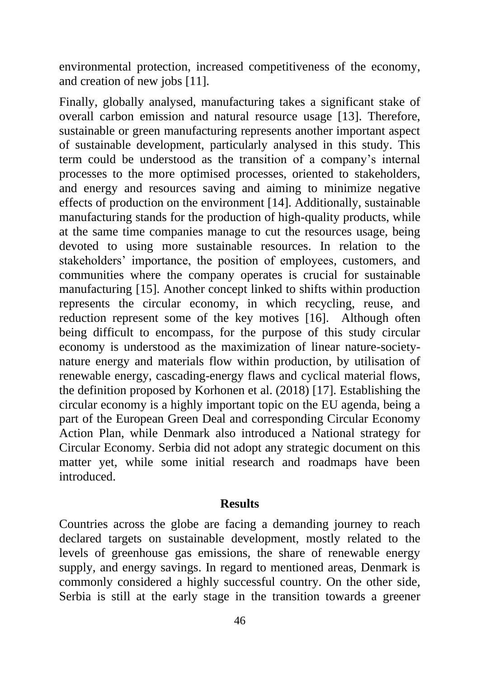environmental protection, increased competitiveness of the economy, and creation of new jobs [11].

Finally, globally analysed, manufacturing takes a significant stake of overall carbon emission and natural resource usage [13]. Therefore, sustainable or green manufacturing represents another important aspect of sustainable development, particularly analysed in this study. This term could be understood as the transition of a company's internal processes to the more optimised processes, oriented to stakeholders, and energy and resources saving and aiming to minimize negative effects of production on the environment [14]. Additionally, sustainable manufacturing stands for the production of high-quality products, while at the same time companies manage to cut the resources usage, being devoted to using more sustainable resources. In relation to the stakeholders' importance, the position of employees, customers, and communities where the company operates is crucial for sustainable manufacturing [15]. Another concept linked to shifts within production represents the circular economy, in which recycling, reuse, and reduction represent some of the key motives [16]. Although often being difficult to encompass, for the purpose of this study circular economy is understood as the maximization of linear nature-societynature energy and materials flow within production, by utilisation of renewable energy, cascading-energy flaws and cyclical material flows, the definition proposed by Korhonen et al. (2018) [17]. Establishing the circular economy is a highly important topic on the EU agenda, being a part of the European Green Deal and corresponding Circular Economy Action Plan, while Denmark also introduced a National strategy for Circular Economy. Serbia did not adopt any strategic document on this matter yet, while some initial research and roadmaps have been introduced.

#### **Results**

Countries across the globe are facing a demanding journey to reach declared targets on sustainable development, mostly related to the levels of greenhouse gas emissions, the share of renewable energy supply, and energy savings. In regard to mentioned areas, Denmark is commonly considered a highly successful country. On the other side, Serbia is still at the early stage in the transition towards a greener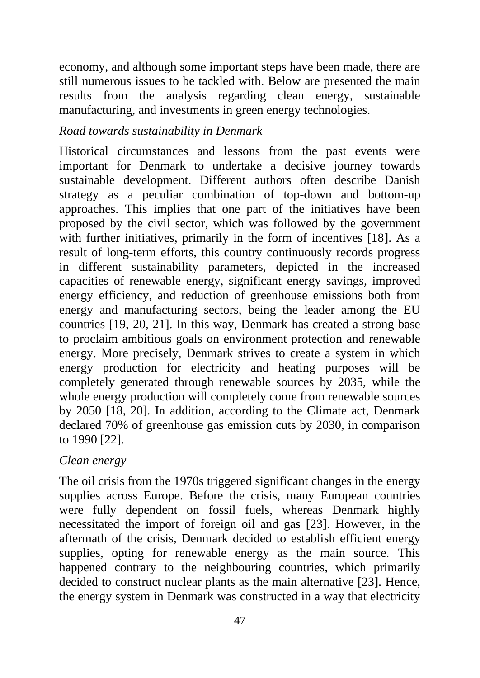economy, and although some important steps have been made, there are still numerous issues to be tackled with. Below are presented the main results from the analysis regarding clean energy, sustainable manufacturing, and investments in green energy technologies.

## *Road towards sustainability in Denmark*

Historical circumstances and lessons from the past events were important for Denmark to undertake a decisive journey towards sustainable development. Different authors often describe Danish strategy as a peculiar combination of top-down and bottom-up approaches. This implies that one part of the initiatives have been proposed by the civil sector, which was followed by the government with further initiatives, primarily in the form of incentives [18]. As a result of long-term efforts, this country continuously records progress in different sustainability parameters, depicted in the increased capacities of renewable energy, significant energy savings, improved energy efficiency, and reduction of greenhouse emissions both from energy and manufacturing sectors, being the leader among the EU countries [19, 20, 21]. In this way, Denmark has created a strong base to proclaim ambitious goals on environment protection and renewable energy. More precisely, Denmark strives to create a system in which energy production for electricity and heating purposes will be completely generated through renewable sources by 2035, while the whole energy production will completely come from renewable sources by 2050 [18, 20]. In addition, according to the Climate act, Denmark declared 70% of greenhouse gas emission cuts by 2030, in comparison to 1990 [22].

# *Clean energy*

The oil crisis from the 1970s triggered significant changes in the energy supplies across Europe. Before the crisis, many European countries were fully dependent on fossil fuels, whereas Denmark highly necessitated the import of foreign oil and gas [23]. However, in the aftermath of the crisis, Denmark decided to establish efficient energy supplies, opting for renewable energy as the main source. This happened contrary to the neighbouring countries, which primarily decided to construct nuclear plants as the main alternative [23]. Hence, the energy system in Denmark was constructed in a way that electricity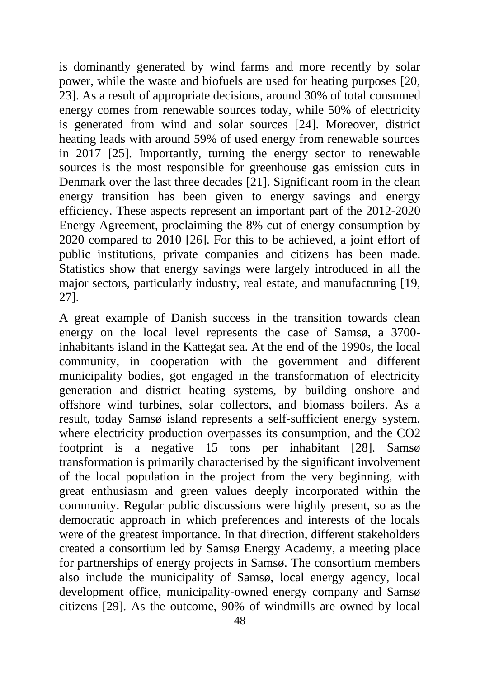is dominantly generated by wind farms and more recently by solar power, while the waste and biofuels are used for heating purposes [20, 23]. As a result of appropriate decisions, around 30% of total consumed energy comes from renewable sources today, while 50% of electricity is generated from wind and solar sources [24]. Moreover, district heating leads with around 59% of used energy from renewable sources in 2017 [25]. Importantly, turning the energy sector to renewable sources is the most responsible for greenhouse gas emission cuts in Denmark over the last three decades [21]. Significant room in the clean energy transition has been given to energy savings and energy efficiency. These aspects represent an important part of the 2012-2020 Energy Agreement, proclaiming the 8% cut of energy consumption by 2020 compared to 2010 [26]. For this to be achieved, a joint effort of public institutions, private companies and citizens has been made. Statistics show that energy savings were largely introduced in all the major sectors, particularly industry, real estate, and manufacturing [19, 27].

A great example of Danish success in the transition towards clean energy on the local level represents the case of Samsø, a 3700 inhabitants island in the Kattegat sea. At the end of the 1990s, the local community, in cooperation with the government and different municipality bodies, got engaged in the transformation of electricity generation and district heating systems, by building onshore and offshore wind turbines, solar collectors, and biomass boilers. As a result, today Samsø island represents a self-sufficient energy system, where electricity production overpasses its consumption, and the CO2 footprint is a negative 15 tons per inhabitant [28]. Samsø transformation is primarily characterised by the significant involvement of the local population in the project from the very beginning, with great enthusiasm and green values deeply incorporated within the community. Regular public discussions were highly present, so as the democratic approach in which preferences and interests of the locals were of the greatest importance. In that direction, different stakeholders created a consortium led by Samsø Energy Academy, a meeting place for partnerships of energy projects in Samsø. The consortium members also include the municipality of Samsø, local energy agency, local development office, municipality-owned energy company and Samsø citizens [29]. As the outcome, 90% of windmills are owned by local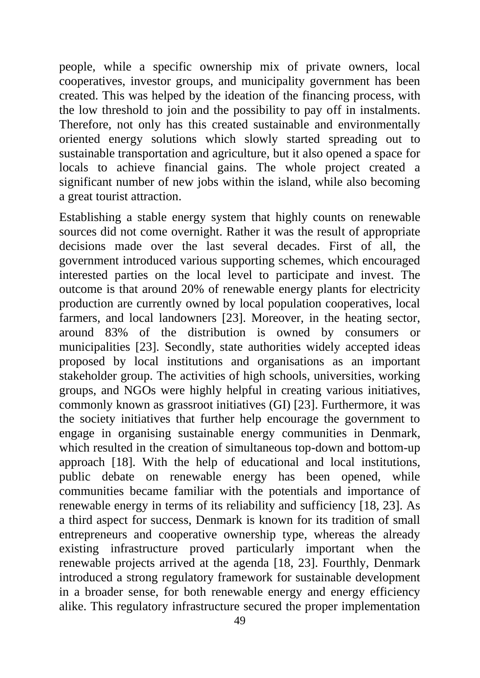people, while a specific ownership mix of private owners, local cooperatives, investor groups, and municipality government has been created. This was helped by the ideation of the financing process, with the low threshold to join and the possibility to pay off in instalments. Therefore, not only has this created sustainable and environmentally oriented energy solutions which slowly started spreading out to sustainable transportation and agriculture, but it also opened a space for locals to achieve financial gains. The whole project created a significant number of new jobs within the island, while also becoming a great tourist attraction.

Establishing a stable energy system that highly counts on renewable sources did not come overnight. Rather it was the result of appropriate decisions made over the last several decades. First of all, the government introduced various supporting schemes, which encouraged interested parties on the local level to participate and invest. The outcome is that around 20% of renewable energy plants for electricity production are currently owned by local population cooperatives, local farmers, and local landowners [23]. Moreover, in the heating sector, around 83% of the distribution is owned by consumers or municipalities [23]. Secondly, state authorities widely accepted ideas proposed by local institutions and organisations as an important stakeholder group. The activities of high schools, universities, working groups, and NGOs were highly helpful in creating various initiatives, commonly known as grassroot initiatives (GI) [23]. Furthermore, it was the society initiatives that further help encourage the government to engage in organising sustainable energy communities in Denmark, which resulted in the creation of simultaneous top-down and bottom-up approach [18]. With the help of educational and local institutions, public debate on renewable energy has been opened, while communities became familiar with the potentials and importance of renewable energy in terms of its reliability and sufficiency [18, 23]. As a third aspect for success, Denmark is known for its tradition of small entrepreneurs and cooperative ownership type, whereas the already existing infrastructure proved particularly important when the renewable projects arrived at the agenda [18, 23]. Fourthly, Denmark introduced a strong regulatory framework for sustainable development in a broader sense, for both renewable energy and energy efficiency alike. This regulatory infrastructure secured the proper implementation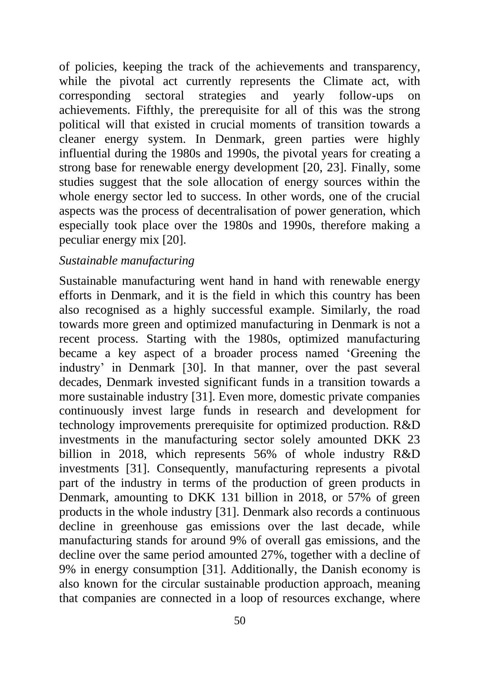of policies, keeping the track of the achievements and transparency, while the pivotal act currently represents the Climate act, with corresponding sectoral strategies and yearly follow-ups on achievements. Fifthly, the prerequisite for all of this was the strong political will that existed in crucial moments of transition towards a cleaner energy system. In Denmark, green parties were highly influential during the 1980s and 1990s, the pivotal years for creating a strong base for renewable energy development [20, 23]. Finally, some studies suggest that the sole allocation of energy sources within the whole energy sector led to success. In other words, one of the crucial aspects was the process of decentralisation of power generation, which especially took place over the 1980s and 1990s, therefore making a peculiar energy mix [20].

#### *Sustainable manufacturing*

Sustainable manufacturing went hand in hand with renewable energy efforts in Denmark, and it is the field in which this country has been also recognised as a highly successful example. Similarly, the road towards more green and optimized manufacturing in Denmark is not a recent process. Starting with the 1980s, optimized manufacturing became a key aspect of a broader process named 'Greening the industry' in Denmark [30]. In that manner, over the past several decades, Denmark invested significant funds in a transition towards a more sustainable industry [31]. Even more, domestic private companies continuously invest large funds in research and development for technology improvements prerequisite for optimized production. R&D investments in the manufacturing sector solely amounted DKK 23 billion in 2018, which represents 56% of whole industry R&D investments [31]. Consequently, manufacturing represents a pivotal part of the industry in terms of the production of green products in Denmark, amounting to DKK 131 billion in 2018, or 57% of green products in the whole industry [31]. Denmark also records a continuous decline in greenhouse gas emissions over the last decade, while manufacturing stands for around 9% of overall gas emissions, and the decline over the same period amounted 27%, together with a decline of 9% in energy consumption [31]. Additionally, the Danish economy is also known for the circular sustainable production approach, meaning that companies are connected in a loop of resources exchange, where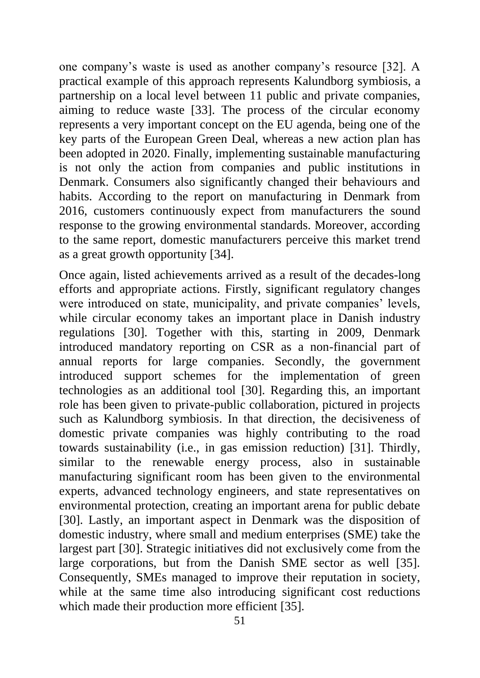one company's waste is used as another company's resource [32]. A practical example of this approach represents Kalundborg symbiosis, a partnership on a local level between 11 public and private companies, aiming to reduce waste [33]. The process of the circular economy represents a very important concept on the EU agenda, being one of the key parts of the European Green Deal, whereas a new action plan has been adopted in 2020. Finally, implementing sustainable manufacturing is not only the action from companies and public institutions in Denmark. Consumers also significantly changed their behaviours and habits. According to the report on manufacturing in Denmark from 2016, customers continuously expect from manufacturers the sound response to the growing environmental standards. Moreover, according to the same report, domestic manufacturers perceive this market trend as a great growth opportunity [34].

Once again, listed achievements arrived as a result of the decades-long efforts and appropriate actions. Firstly, significant regulatory changes were introduced on state, municipality, and private companies' levels, while circular economy takes an important place in Danish industry regulations [30]. Together with this, starting in 2009, Denmark introduced mandatory reporting on CSR as a non-financial part of annual reports for large companies. Secondly, the government introduced support schemes for the implementation of green technologies as an additional tool [30]. Regarding this, an important role has been given to private-public collaboration, pictured in projects such as Kalundborg symbiosis. In that direction, the decisiveness of domestic private companies was highly contributing to the road towards sustainability (i.e., in gas emission reduction) [31]. Thirdly, similar to the renewable energy process, also in sustainable manufacturing significant room has been given to the environmental experts, advanced technology engineers, and state representatives on environmental protection, creating an important arena for public debate [30]. Lastly, an important aspect in Denmark was the disposition of domestic industry, where small and medium enterprises (SME) take the largest part [30]. Strategic initiatives did not exclusively come from the large corporations, but from the Danish SME sector as well [35]. Consequently, SMEs managed to improve their reputation in society, while at the same time also introducing significant cost reductions which made their production more efficient [35].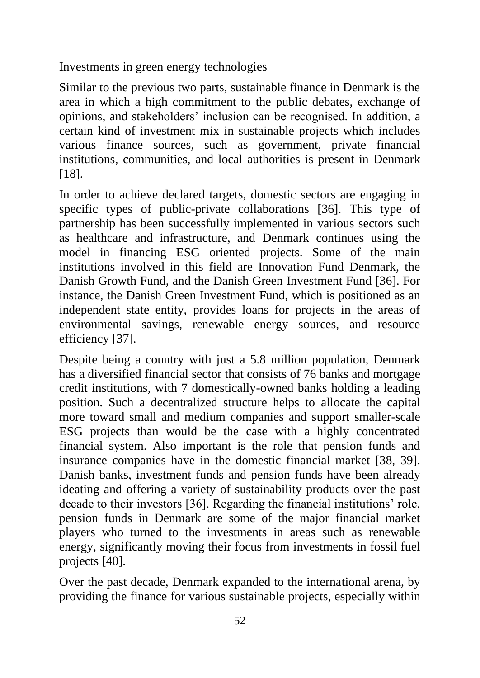Investments in green energy technologies

Similar to the previous two parts, sustainable finance in Denmark is the area in which a high commitment to the public debates, exchange of opinions, and stakeholders' inclusion can be recognised. In addition, a certain kind of investment mix in sustainable projects which includes various finance sources, such as government, private financial institutions, communities, and local authorities is present in Denmark [18].

In order to achieve declared targets, domestic sectors are engaging in specific types of public-private collaborations [36]. This type of partnership has been successfully implemented in various sectors such as healthcare and infrastructure, and Denmark continues using the model in financing ESG oriented projects. Some of the main institutions involved in this field are Innovation Fund Denmark, the Danish Growth Fund, and the Danish Green Investment Fund [36]. For instance, the Danish Green Investment Fund, which is positioned as an independent state entity, provides loans for projects in the areas of environmental savings, renewable energy sources, and resource efficiency [37].

Despite being a country with just a 5.8 million population, Denmark has a diversified financial sector that consists of 76 banks and mortgage credit institutions, with 7 domestically-owned banks holding a leading position. Such a decentralized structure helps to allocate the capital more toward small and medium companies and support smaller-scale ESG projects than would be the case with a highly concentrated financial system. Also important is the role that pension funds and insurance companies have in the domestic financial market [38, 39]. Danish banks, investment funds and pension funds have been already ideating and offering a variety of sustainability products over the past decade to their investors [36]. Regarding the financial institutions' role, pension funds in Denmark are some of the major financial market players who turned to the investments in areas such as renewable energy, significantly moving their focus from investments in fossil fuel projects [40].

Over the past decade, Denmark expanded to the international arena, by providing the finance for various sustainable projects, especially within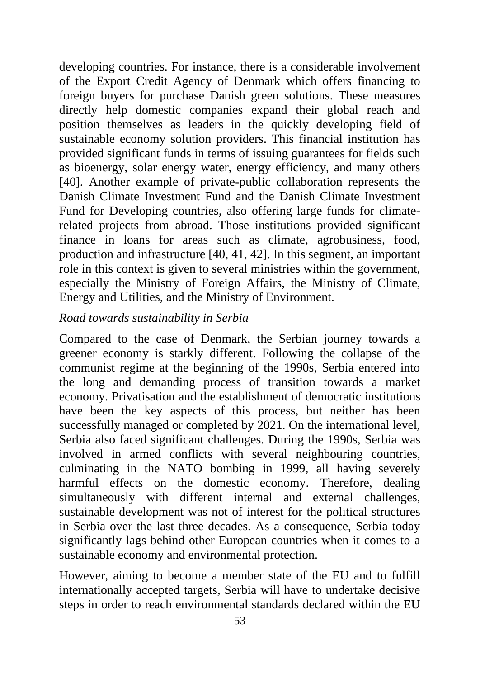developing countries. For instance, there is a considerable involvement of the Export Credit Agency of Denmark which offers financing to foreign buyers for purchase Danish green solutions. These measures directly help domestic companies expand their global reach and position themselves as leaders in the quickly developing field of sustainable economy solution providers. This financial institution has provided significant funds in terms of issuing guarantees for fields such as bioenergy, solar energy water, energy efficiency, and many others [40]. Another example of private-public collaboration represents the Danish Climate Investment Fund and the Danish Climate Investment Fund for Developing countries, also offering large funds for climaterelated projects from abroad. Those institutions provided significant finance in loans for areas such as climate, agrobusiness, food, production and infrastructure [40, 41, 42]. In this segment, an important role in this context is given to several ministries within the government, especially the Ministry of Foreign Affairs, the Ministry of Climate, Energy and Utilities, and the Ministry of Environment.

### *Road towards sustainability in Serbia*

Compared to the case of Denmark, the Serbian journey towards a greener economy is starkly different. Following the collapse of the communist regime at the beginning of the 1990s, Serbia entered into the long and demanding process of transition towards a market economy. Privatisation and the establishment of democratic institutions have been the key aspects of this process, but neither has been successfully managed or completed by 2021. On the international level, Serbia also faced significant challenges. During the 1990s, Serbia was involved in armed conflicts with several neighbouring countries, culminating in the NATO bombing in 1999, all having severely harmful effects on the domestic economy. Therefore, dealing simultaneously with different internal and external challenges, sustainable development was not of interest for the political structures in Serbia over the last three decades. As a consequence, Serbia today significantly lags behind other European countries when it comes to a sustainable economy and environmental protection.

However, aiming to become a member state of the EU and to fulfill internationally accepted targets, Serbia will have to undertake decisive steps in order to reach environmental standards declared within the EU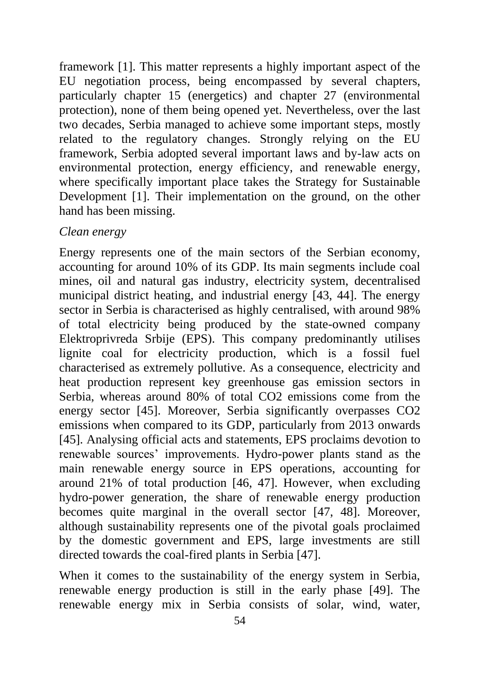framework [1]. This matter represents a highly important aspect of the EU negotiation process, being encompassed by several chapters, particularly chapter 15 (energetics) and chapter 27 (environmental protection), none of them being opened yet. Nevertheless, over the last two decades, Serbia managed to achieve some important steps, mostly related to the regulatory changes. Strongly relying on the EU framework, Serbia adopted several important laws and by-law acts on environmental protection, energy efficiency, and renewable energy, where specifically important place takes the Strategy for Sustainable Development [1]. Their implementation on the ground, on the other hand has been missing.

### *Clean energy*

Energy represents one of the main sectors of the Serbian economy, accounting for around 10% of its GDP. Its main segments include coal mines, oil and natural gas industry, electricity system, decentralised municipal district heating, and industrial energy [43, 44]. The energy sector in Serbia is characterised as highly centralised, with around 98% of total electricity being produced by the state-owned company Elektroprivreda Srbije (EPS). This company predominantly utilises lignite coal for electricity production, which is a fossil fuel characterised as extremely pollutive. As a consequence, electricity and heat production represent key greenhouse gas emission sectors in Serbia, whereas around 80% of total CO2 emissions come from the energy sector [45]. Moreover, Serbia significantly overpasses CO2 emissions when compared to its GDP, particularly from 2013 onwards [45]. Analysing official acts and statements, EPS proclaims devotion to renewable sources' improvements. Hydro-power plants stand as the main renewable energy source in EPS operations, accounting for around 21% of total production [46, 47]. However, when excluding hydro-power generation, the share of renewable energy production becomes quite marginal in the overall sector [47, 48]. Moreover, although sustainability represents one of the pivotal goals proclaimed by the domestic government and EPS, large investments are still directed towards the coal-fired plants in Serbia [47].

When it comes to the sustainability of the energy system in Serbia, renewable energy production is still in the early phase [49]. The renewable energy mix in Serbia consists of solar, wind, water,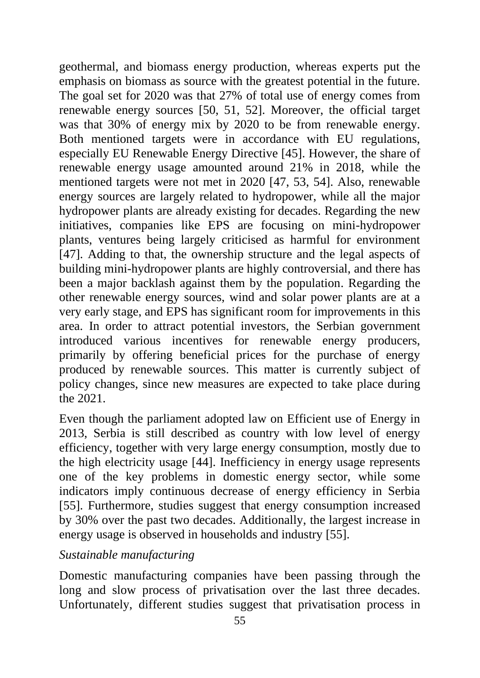geothermal, and biomass energy production, whereas experts put the emphasis on biomass as source with the greatest potential in the future. The goal set for 2020 was that 27% of total use of energy comes from renewable energy sources [50, 51, 52]. Moreover, the official target was that 30% of energy mix by 2020 to be from renewable energy. Both mentioned targets were in accordance with EU regulations, especially EU Renewable Energy Directive [45]. However, the share of renewable energy usage amounted around 21% in 2018, while the mentioned targets were not met in 2020 [47, 53, 54]. Also, renewable energy sources are largely related to hydropower, while all the major hydropower plants are already existing for decades. Regarding the new initiatives, companies like EPS are focusing on mini-hydropower plants, ventures being largely criticised as harmful for environment [47]. Adding to that, the ownership structure and the legal aspects of building mini-hydropower plants are highly controversial, and there has been a major backlash against them by the population. Regarding the other renewable energy sources, wind and solar power plants are at a very early stage, and EPS has significant room for improvements in this area. In order to attract potential investors, the Serbian government introduced various incentives for renewable energy producers, primarily by offering beneficial prices for the purchase of energy produced by renewable sources. This matter is currently subject of policy changes, since new measures are expected to take place during the 2021.

Even though the parliament adopted law on Efficient use of Energy in 2013, Serbia is still described as country with low level of energy efficiency, together with very large energy consumption, mostly due to the high electricity usage [44]. Inefficiency in energy usage represents one of the key problems in domestic energy sector, while some indicators imply continuous decrease of energy efficiency in Serbia [55]. Furthermore, studies suggest that energy consumption increased by 30% over the past two decades. Additionally, the largest increase in energy usage is observed in households and industry [55].

### *Sustainable manufacturing*

Domestic manufacturing companies have been passing through the long and slow process of privatisation over the last three decades. Unfortunately, different studies suggest that privatisation process in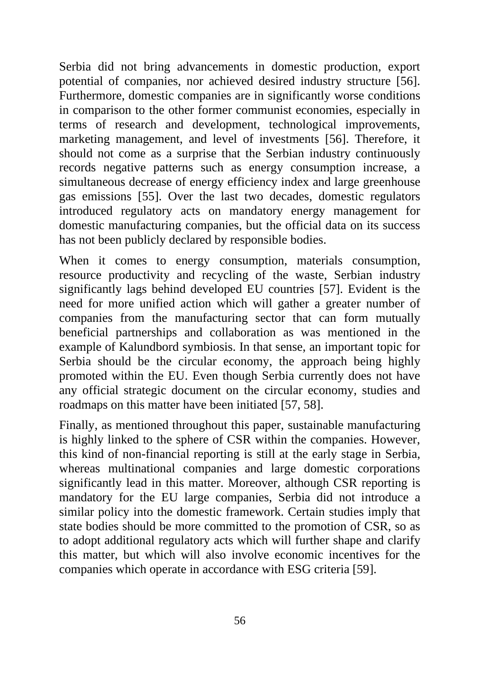Serbia did not bring advancements in domestic production, export potential of companies, nor achieved desired industry structure [56]. Furthermore, domestic companies are in significantly worse conditions in comparison to the other former communist economies, especially in terms of research and development, technological improvements, marketing management, and level of investments [56]. Therefore, it should not come as a surprise that the Serbian industry continuously records negative patterns such as energy consumption increase, a simultaneous decrease of energy efficiency index and large greenhouse gas emissions [55]. Over the last two decades, domestic regulators introduced regulatory acts on mandatory energy management for domestic manufacturing companies, but the official data on its success has not been publicly declared by responsible bodies.

When it comes to energy consumption, materials consumption, resource productivity and recycling of the waste, Serbian industry significantly lags behind developed EU countries [57]. Evident is the need for more unified action which will gather a greater number of companies from the manufacturing sector that can form mutually beneficial partnerships and collaboration as was mentioned in the example of Kalundbord symbiosis. In that sense, an important topic for Serbia should be the circular economy, the approach being highly promoted within the EU. Even though Serbia currently does not have any official strategic document on the circular economy, studies and roadmaps on this matter have been initiated [57, 58].

Finally, as mentioned throughout this paper, sustainable manufacturing is highly linked to the sphere of CSR within the companies. However, this kind of non-financial reporting is still at the early stage in Serbia, whereas multinational companies and large domestic corporations significantly lead in this matter. Moreover, although CSR reporting is mandatory for the EU large companies, Serbia did not introduce a similar policy into the domestic framework. Certain studies imply that state bodies should be more committed to the promotion of CSR, so as to adopt additional regulatory acts which will further shape and clarify this matter, but which will also involve economic incentives for the companies which operate in accordance with ESG criteria [59].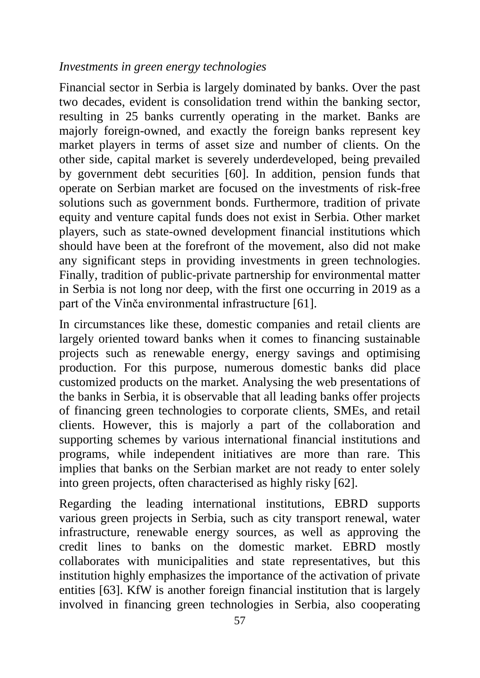#### *Investments in green energy technologies*

Financial sector in Serbia is largely dominated by banks. Over the past two decades, evident is consolidation trend within the banking sector, resulting in 25 banks currently operating in the market. Banks are majorly foreign-owned, and exactly the foreign banks represent key market players in terms of asset size and number of clients. On the other side, capital market is severely underdeveloped, being prevailed by government debt securities [60]. In addition, pension funds that operate on Serbian market are focused on the investments of risk-free solutions such as government bonds. Furthermore, tradition of private equity and venture capital funds does not exist in Serbia. Other market players, such as state-owned development financial institutions which should have been at the forefront of the movement, also did not make any significant steps in providing investments in green technologies. Finally, tradition of public-private partnership for environmental matter in Serbia is not long nor deep, with the first one occurring in 2019 as a part of the Vinča environmental infrastructure [61].

In circumstances like these, domestic companies and retail clients are largely oriented toward banks when it comes to financing sustainable projects such as renewable energy, energy savings and optimising production. For this purpose, numerous domestic banks did place customized products on the market. Analysing the web presentations of the banks in Serbia, it is observable that all leading banks offer projects of financing green technologies to corporate clients, SMEs, and retail clients. However, this is majorly a part of the collaboration and supporting schemes by various international financial institutions and programs, while independent initiatives are more than rare. This implies that banks on the Serbian market are not ready to enter solely into green projects, often characterised as highly risky [62].

Regarding the leading international institutions, EBRD supports various green projects in Serbia, such as city transport renewal, water infrastructure, renewable energy sources, as well as approving the credit lines to banks on the domestic market. EBRD mostly collaborates with municipalities and state representatives, but this institution highly emphasizes the importance of the activation of private entities [63]. KfW is another foreign financial institution that is largely involved in financing green technologies in Serbia, also cooperating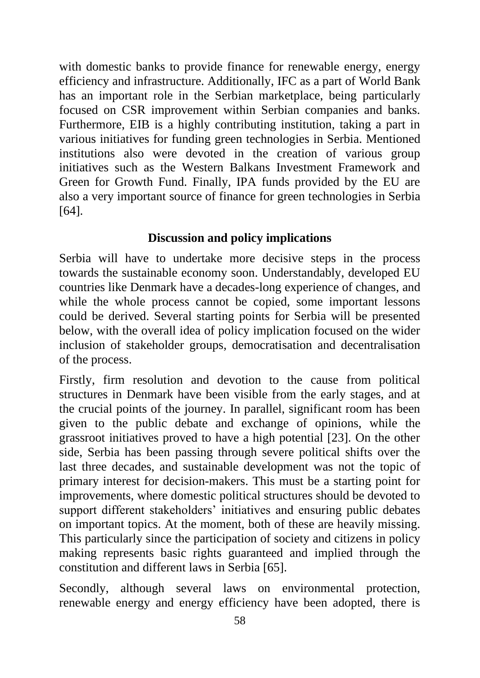with domestic banks to provide finance for renewable energy, energy efficiency and infrastructure. Additionally, IFC as a part of World Bank has an important role in the Serbian marketplace, being particularly focused on CSR improvement within Serbian companies and banks. Furthermore, EIB is a highly contributing institution, taking a part in various initiatives for funding green technologies in Serbia. Mentioned institutions also were devoted in the creation of various group initiatives such as the Western Balkans Investment Framework and Green for Growth Fund. Finally, IPA funds provided by the EU are also a very important source of finance for green technologies in Serbia [64].

# **Discussion and policy implications**

Serbia will have to undertake more decisive steps in the process towards the sustainable economy soon. Understandably, developed EU countries like Denmark have a decades-long experience of changes, and while the whole process cannot be copied, some important lessons could be derived. Several starting points for Serbia will be presented below, with the overall idea of policy implication focused on the wider inclusion of stakeholder groups, democratisation and decentralisation of the process.

Firstly, firm resolution and devotion to the cause from political structures in Denmark have been visible from the early stages, and at the crucial points of the journey. In parallel, significant room has been given to the public debate and exchange of opinions, while the grassroot initiatives proved to have a high potential [23]. On the other side, Serbia has been passing through severe political shifts over the last three decades, and sustainable development was not the topic of primary interest for decision-makers. This must be a starting point for improvements, where domestic political structures should be devoted to support different stakeholders' initiatives and ensuring public debates on important topics. At the moment, both of these are heavily missing. This particularly since the participation of society and citizens in policy making represents basic rights guaranteed and implied through the constitution and different laws in Serbia [65].

Secondly, although several laws on environmental protection, renewable energy and energy efficiency have been adopted, there is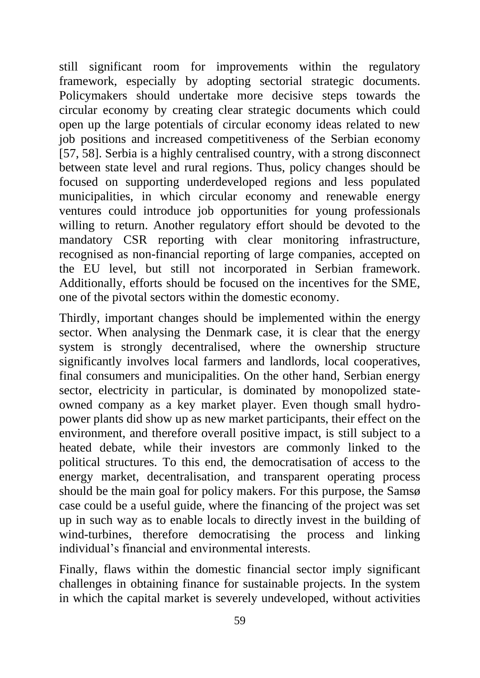still significant room for improvements within the regulatory framework, especially by adopting sectorial strategic documents. Policymakers should undertake more decisive steps towards the circular economy by creating clear strategic documents which could open up the large potentials of circular economy ideas related to new job positions and increased competitiveness of the Serbian economy [57, 58]. Serbia is a highly centralised country, with a strong disconnect between state level and rural regions. Thus, policy changes should be focused on supporting underdeveloped regions and less populated municipalities, in which circular economy and renewable energy ventures could introduce job opportunities for young professionals willing to return. Another regulatory effort should be devoted to the mandatory CSR reporting with clear monitoring infrastructure, recognised as non-financial reporting of large companies, accepted on the EU level, but still not incorporated in Serbian framework. Additionally, efforts should be focused on the incentives for the SME, one of the pivotal sectors within the domestic economy.

Thirdly, important changes should be implemented within the energy sector. When analysing the Denmark case, it is clear that the energy system is strongly decentralised, where the ownership structure significantly involves local farmers and landlords, local cooperatives, final consumers and municipalities. On the other hand, Serbian energy sector, electricity in particular, is dominated by monopolized stateowned company as a key market player. Even though small hydropower plants did show up as new market participants, their effect on the environment, and therefore overall positive impact, is still subject to a heated debate, while their investors are commonly linked to the political structures. To this end, the democratisation of access to the energy market, decentralisation, and transparent operating process should be the main goal for policy makers. For this purpose, the Samsø case could be a useful guide, where the financing of the project was set up in such way as to enable locals to directly invest in the building of wind-turbines, therefore democratising the process and linking individual's financial and environmental interests.

Finally, flaws within the domestic financial sector imply significant challenges in obtaining finance for sustainable projects. In the system in which the capital market is severely undeveloped, without activities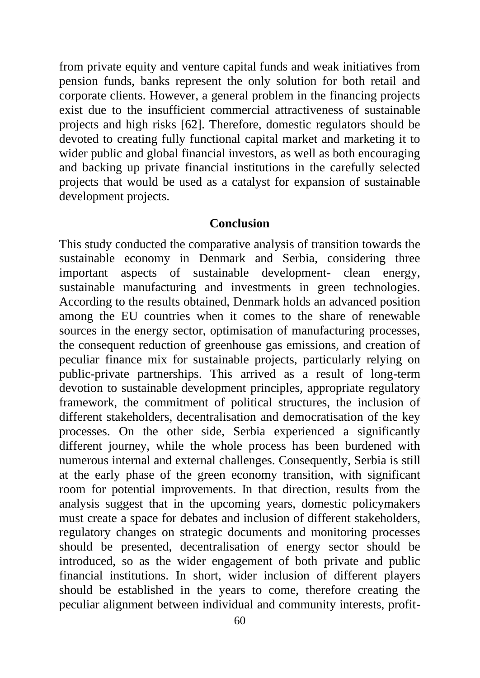from private equity and venture capital funds and weak initiatives from pension funds, banks represent the only solution for both retail and corporate clients. However, a general problem in the financing projects exist due to the insufficient commercial attractiveness of sustainable projects and high risks [62]. Therefore, domestic regulators should be devoted to creating fully functional capital market and marketing it to wider public and global financial investors, as well as both encouraging and backing up private financial institutions in the carefully selected projects that would be used as a catalyst for expansion of sustainable development projects.

#### **Conclusion**

This study conducted the comparative analysis of transition towards the sustainable economy in Denmark and Serbia, considering three important aspects of sustainable development- clean energy, sustainable manufacturing and investments in green technologies. According to the results obtained, Denmark holds an advanced position among the EU countries when it comes to the share of renewable sources in the energy sector, optimisation of manufacturing processes, the consequent reduction of greenhouse gas emissions, and creation of peculiar finance mix for sustainable projects, particularly relying on public-private partnerships. This arrived as a result of long-term devotion to sustainable development principles, appropriate regulatory framework, the commitment of political structures, the inclusion of different stakeholders, decentralisation and democratisation of the key processes. On the other side, Serbia experienced a significantly different journey, while the whole process has been burdened with numerous internal and external challenges. Consequently, Serbia is still at the early phase of the green economy transition, with significant room for potential improvements. In that direction, results from the analysis suggest that in the upcoming years, domestic policymakers must create a space for debates and inclusion of different stakeholders, regulatory changes on strategic documents and monitoring processes should be presented, decentralisation of energy sector should be introduced, so as the wider engagement of both private and public financial institutions. In short, wider inclusion of different players should be established in the years to come, therefore creating the peculiar alignment between individual and community interests, profit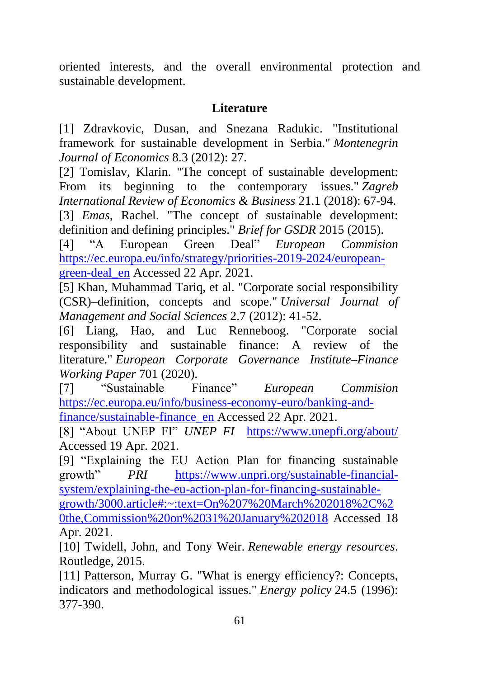oriented interests, and the overall environmental protection and sustainable development.

# **Literature**

[1] Zdravkovic, Dusan, and Snezana Radukic. "Institutional framework for sustainable development in Serbia." *Montenegrin Journal of Economics* 8.3 (2012): 27.

[2] Tomislav, Klarin. "The concept of sustainable development: From its beginning to the contemporary issues." *Zagreb International Review of Economics & Business* 21.1 (2018): 67-94. [3] *Emas*, Rachel. "The concept of sustainable development: definition and defining principles." *Brief for GSDR* 2015 (2015).

[4] "A European Green Deal" *European Commision* [https://ec.europa.eu/info/strategy/priorities-2019-2024/european](https://ec.europa.eu/info/strategy/priorities-2019-2024/european-green-deal_en)[green-deal\\_en](https://ec.europa.eu/info/strategy/priorities-2019-2024/european-green-deal_en) Accessed 22 Apr. 2021.

[5] Khan, Muhammad Tariq, et al. "Corporate social responsibility (CSR)–definition, concepts and scope." *Universal Journal of Management and Social Sciences* 2.7 (2012): 41-52.

[6] Liang, Hao, and Luc Renneboog. "Corporate social responsibility and sustainable finance: A review of the literature." *European Corporate Governance Institute–Finance Working Paper* 701 (2020).

[7] "Sustainable Finance" *European Commision* [https://ec.europa.eu/info/business-economy-euro/banking-and](https://ec.europa.eu/info/business-economy-euro/banking-and-finance/sustainable-finance_en)[finance/sustainable-finance\\_en](https://ec.europa.eu/info/business-economy-euro/banking-and-finance/sustainable-finance_en) Accessed 22 Apr. 2021.

[8] "About UNEP FI" *UNEP FI* <https://www.unepfi.org/about/> Accessed 19 Apr. 2021.

[9] "Explaining the EU Action Plan for financing sustainable growth" *PRI* [https://www.unpri.org/sustainable-financial](https://www.unpri.org/sustainable-financial-system/explaining-the-eu-action-plan-for-financing-sustainable-growth/3000.article#:~:text=On%207%20March%202018%2C%20the,Commission%20on%2031%20January%202018)[system/explaining-the-eu-action-plan-for-financing-sustainable](https://www.unpri.org/sustainable-financial-system/explaining-the-eu-action-plan-for-financing-sustainable-growth/3000.article#:~:text=On%207%20March%202018%2C%20the,Commission%20on%2031%20January%202018)[growth/3000.article#:~:text=On%207%20March%202018%2C%2](https://www.unpri.org/sustainable-financial-system/explaining-the-eu-action-plan-for-financing-sustainable-growth/3000.article#:~:text=On%207%20March%202018%2C%20the,Commission%20on%2031%20January%202018) [0the,Commission%20on%2031%20January%202018](https://www.unpri.org/sustainable-financial-system/explaining-the-eu-action-plan-for-financing-sustainable-growth/3000.article#:~:text=On%207%20March%202018%2C%20the,Commission%20on%2031%20January%202018) Accessed 18 Apr. 2021.

[10] Twidell, John, and Tony Weir. *Renewable energy resources*. Routledge, 2015.

[11] Patterson, Murray G. "What is energy efficiency?: Concepts, indicators and methodological issues." *Energy policy* 24.5 (1996): 377-390.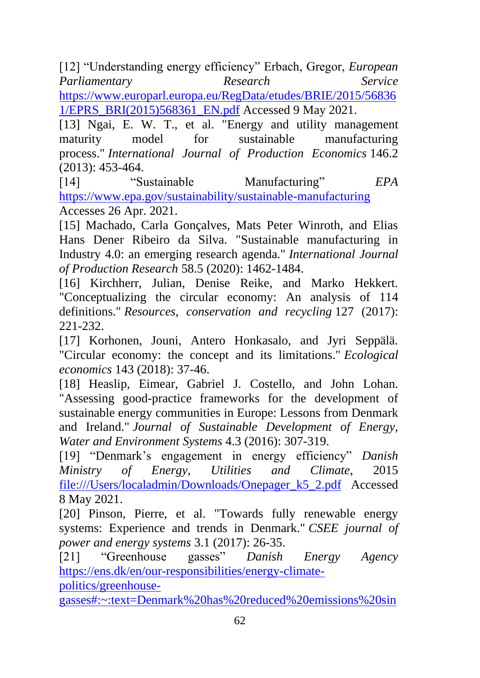[12] "Understanding energy efficiency" Erbach, Gregor, *European Parliamentary Research Service*  [https://www.europarl.europa.eu/RegData/etudes/BRIE/2015/56836](https://www.europarl.europa.eu/RegData/etudes/BRIE/2015/568361/EPRS_BRI(2015)568361_EN.pdf)

[1/EPRS\\_BRI\(2015\)568361\\_EN.pdf](https://www.europarl.europa.eu/RegData/etudes/BRIE/2015/568361/EPRS_BRI(2015)568361_EN.pdf) Accessed 9 May 2021.

[13] Ngai, E. W. T., et al. "Energy and utility management maturity model for sustainable manufacturing process." *International Journal of Production Economics* 146.2 (2013): 453-464.

[14] "Sustainable Manufacturing" *EPA* <https://www.epa.gov/sustainability/sustainable-manufacturing> Accesses 26 Apr. 2021.

[15] Machado, Carla Gonçalves, Mats Peter Winroth, and Elias Hans Dener Ribeiro da Silva. "Sustainable manufacturing in Industry 4.0: an emerging research agenda." *International Journal of Production Research* 58.5 (2020): 1462-1484.

[16] Kirchherr, Julian, Denise Reike, and Marko Hekkert. "Conceptualizing the circular economy: An analysis of 114 definitions." *Resources, conservation and recycling* 127 (2017): 221-232.

[17] Korhonen, Jouni, Antero Honkasalo, and Jyri Seppälä. "Circular economy: the concept and its limitations." *Ecological economics* 143 (2018): 37-46.

[18] Heaslip, Eimear, Gabriel J. Costello, and John Lohan. "Assessing good-practice frameworks for the development of sustainable energy communities in Europe: Lessons from Denmark and Ireland." *Journal of Sustainable Development of Energy, Water and Environment Systems* 4.3 (2016): 307-319.

[19] "Denmark's engagement in energy efficiency" *Danish Ministry of Energy, Utilities and Climate*, 2015 [file:///Users/localadmin/Downloads/Onepager\\_k5\\_2.pdf](file:///F:/Users/localadmin/Downloads/Onepager_k5_2.pdf) Accessed 8 May 2021.

[20] Pinson, Pierre, et al. "Towards fully renewable energy systems: Experience and trends in Denmark." *CSEE journal of power and energy systems* 3.1 (2017): 26-35.

[21] "Greenhouse gasses" *Danish Energy Agency* [https://ens.dk/en/our-responsibilities/energy-climate](https://ens.dk/en/our-responsibilities/energy-climate-politics/greenhouse-gasses#:~:text=Denmark%20has%20reduced%20emissions%20since,dropped%20with%20approximately%2020%20pct)[politics/greenhouse-](https://ens.dk/en/our-responsibilities/energy-climate-politics/greenhouse-gasses#:~:text=Denmark%20has%20reduced%20emissions%20since,dropped%20with%20approximately%2020%20pct)

[gasses#:~:text=Denmark%20has%20reduced%20emissions%20sin](https://ens.dk/en/our-responsibilities/energy-climate-politics/greenhouse-gasses#:~:text=Denmark%20has%20reduced%20emissions%20since,dropped%20with%20approximately%2020%20pct)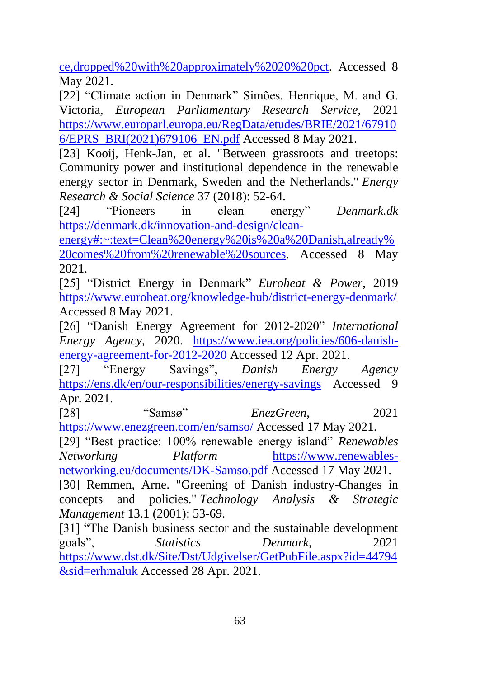[ce,dropped%20with%20approximately%2020%20pct.](https://ens.dk/en/our-responsibilities/energy-climate-politics/greenhouse-gasses#:~:text=Denmark%20has%20reduced%20emissions%20since,dropped%20with%20approximately%2020%20pct) Accessed 8 May 2021.

[22] "Climate action in Denmark" Simões, Henrique, M. and G. Victoria, *European Parliamentary Research Service,* 2021 [https://www.europarl.europa.eu/RegData/etudes/BRIE/2021/67910](https://www.europarl.europa.eu/RegData/etudes/BRIE/2021/679106/EPRS_BRI(2021)679106_EN.pdf) [6/EPRS\\_BRI\(2021\)679106\\_EN.pdf](https://www.europarl.europa.eu/RegData/etudes/BRIE/2021/679106/EPRS_BRI(2021)679106_EN.pdf) Accessed 8 May 2021.

[23] Kooij, Henk-Jan, et al. "Between grassroots and treetops: Community power and institutional dependence in the renewable energy sector in Denmark, Sweden and the Netherlands." *Energy Research & Social Science* 37 (2018): 52-64.

[24] "Pioneers in clean energy" *Denmark.dk* [https://denmark.dk/innovation-and-design/clean-](https://denmark.dk/innovation-and-design/clean-energy#:~:text=Clean%20energy%20is%20a%20Danish,already%20comes%20from%20renewable%20sources)

[energy#:~:text=Clean%20energy%20is%20a%20Danish,already%](https://denmark.dk/innovation-and-design/clean-energy#:~:text=Clean%20energy%20is%20a%20Danish,already%20comes%20from%20renewable%20sources) [20comes%20from%20renewable%20sources.](https://denmark.dk/innovation-and-design/clean-energy#:~:text=Clean%20energy%20is%20a%20Danish,already%20comes%20from%20renewable%20sources) Accessed 8 May 2021.

[25] "District Energy in Denmark" *Euroheat & Power*, 2019 <https://www.euroheat.org/knowledge-hub/district-energy-denmark/> Accessed 8 May 2021.

[26] "Danish Energy Agreement for 2012-2020" *International Energy Agency*, 2020. [https://www.iea.org/policies/606-danish](https://www.iea.org/policies/606-danish-energy-agreement-for-2012-2020)[energy-agreement-for-2012-2020](https://www.iea.org/policies/606-danish-energy-agreement-for-2012-2020) Accessed 12 Apr. 2021.

[27] "Energy Savings", *Danish Energy Agency* <https://ens.dk/en/our-responsibilities/energy-savings> Accessed 9 Apr. 2021.

[28] "Samsø" *EnezGreen*, 2021 <https://www.enezgreen.com/en/samso/> Accessed 17 May 2021.

[29] "Best practice: 100% renewable energy island" *Renewables Networking Platform* [https://www.renewables](https://www.renewables-networking.eu/documents/DK-Samso.pdf)[networking.eu/documents/DK-Samso.pdf](https://www.renewables-networking.eu/documents/DK-Samso.pdf) Accessed 17 May 2021.

[30] Remmen, Arne. "Greening of Danish industry-Changes in concepts and policies." *Technology Analysis & Strategic Management* 13.1 (2001): 53-69.

[31] "The Danish business sector and the sustainable development goals", *Statistics Denmark*, 2021 [https://www.dst.dk/Site/Dst/Udgivelser/GetPubFile.aspx?id=44794](https://www.dst.dk/Site/Dst/Udgivelser/GetPubFile.aspx?id=44794&sid=erhmaluk) [&sid=erhmaluk](https://www.dst.dk/Site/Dst/Udgivelser/GetPubFile.aspx?id=44794&sid=erhmaluk) Accessed 28 Apr. 2021.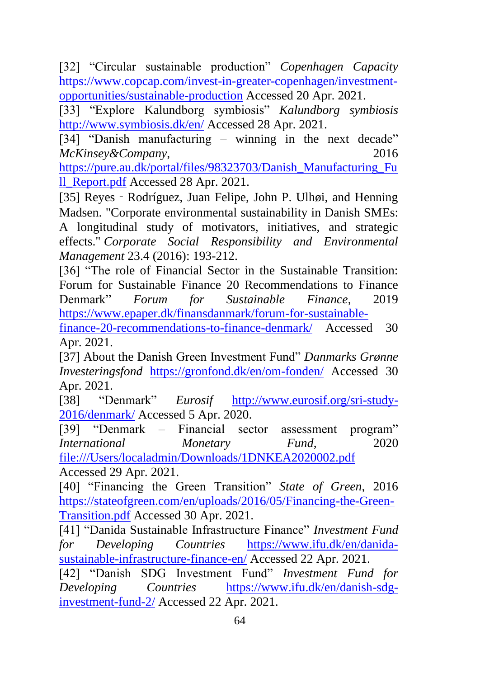[32] "Circular sustainable production" *Copenhagen Capacity* [https://www.copcap.com/invest-in-greater-copenhagen/investment](https://www.copcap.com/invest-in-greater-copenhagen/investment-opportunities/sustainable-production)[opportunities/sustainable-production](https://www.copcap.com/invest-in-greater-copenhagen/investment-opportunities/sustainable-production) Accessed 20 Apr. 2021.

[33] "Explore Kalundborg symbiosis" *Kalundborg symbiosis* <http://www.symbiosis.dk/en/> Accessed 28 Apr. 2021.

[34] "Danish manufacturing – winning in the next decade" *McKinsey&Company*, 2016

[https://pure.au.dk/portal/files/98323703/Danish\\_Manufacturing\\_Fu](https://pure.au.dk/portal/files/98323703/Danish_Manufacturing_Full_Report.pdf) [ll\\_Report.pdf](https://pure.au.dk/portal/files/98323703/Danish_Manufacturing_Full_Report.pdf) Accessed 28 Apr. 2021.

[35] Reyes - Rodríguez, Juan Felipe, John P. Ulhøi, and Henning Madsen. "Corporate environmental sustainability in Danish SMEs: A longitudinal study of motivators, initiatives, and strategic effects." *Corporate Social Responsibility and Environmental Management* 23.4 (2016): 193-212.

[36] "The role of Financial Sector in the Sustainable Transition: Forum for Sustainable Finance 20 Recommendations to Finance Denmark" *Forum for Sustainable Finance*, 2019 [https://www.epaper.dk/finansdanmark/forum-for-sustainable-](https://www.epaper.dk/finansdanmark/forum-for-sustainable-finance-20-recommendations-to-finance-denmark/)

[finance-20-recommendations-to-finance-denmark/](https://www.epaper.dk/finansdanmark/forum-for-sustainable-finance-20-recommendations-to-finance-denmark/) Accessed 30 Apr. 2021.

[37] About the Danish Green Investment Fund" *Danmarks Grønne Investeringsfond* <https://gronfond.dk/en/om-fonden/> Accessed 30 Apr. 2021.

[38] "Denmark" *Eurosif* [http://www.eurosif.org/sri-study-](http://www.eurosif.org/sri-study-2016/denmark/)[2016/denmark/](http://www.eurosif.org/sri-study-2016/denmark/) Accessed 5 Apr. 2020.

[39] "Denmark – Financial sector assessment program" *International Monetary Fund*, 2020 [file:///Users/localadmin/Downloads/1DNKEA2020002.pdf](file:///F:/Users/localadmin/Downloads/1DNKEA2020002.pdf) Accessed 29 Apr. 2021.

[40] "Financing the Green Transition" *State of Green*, 2016 [https://stateofgreen.com/en/uploads/2016/05/Financing-the-Green-](https://stateofgreen.com/en/uploads/2016/05/Financing-the-Green-Transition.pdf)[Transition.pdf](https://stateofgreen.com/en/uploads/2016/05/Financing-the-Green-Transition.pdf) Accessed 30 Apr. 2021.

[41] "Danida Sustainable Infrastructure Finance" *Investment Fund for Developing Countries* [https://www.ifu.dk/en/danida](https://www.ifu.dk/en/danida-sustainable-infrastructure-finance-en/)[sustainable-infrastructure-finance-en/](https://www.ifu.dk/en/danida-sustainable-infrastructure-finance-en/) Accessed 22 Apr. 2021.

[42] "Danish SDG Investment Fund" *Investment Fund for Developing Countries* [https://www.ifu.dk/en/danish-sdg](https://www.ifu.dk/en/danish-sdg-investment-fund-2/)[investment-fund-2/](https://www.ifu.dk/en/danish-sdg-investment-fund-2/) Accessed 22 Apr. 2021.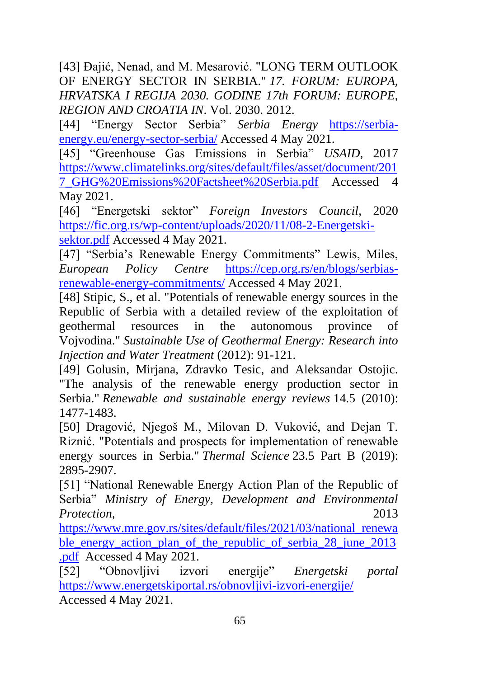[43] Đajić, Nenad, and M. Mesarović. "LONG TERM OUTLOOK OF ENERGY SECTOR IN SERBIA." *17. FORUM: EUROPA, HRVATSKA I REGIJA 2030. GODINE 17th FORUM: EUROPE, REGION AND CROATIA IN*. Vol. 2030. 2012.

[44] "Energy Sector Serbia" *Serbia Energy* [https://serbia](https://serbia-energy.eu/energy-sector-serbia/)[energy.eu/energy-sector-serbia/](https://serbia-energy.eu/energy-sector-serbia/) Accessed 4 May 2021.

[45] "Greenhouse Gas Emissions in Serbia" *USAID,* 2017 [https://www.climatelinks.org/sites/default/files/asset/document/201](https://www.climatelinks.org/sites/default/files/asset/document/2017_GHG%20Emissions%20Factsheet%20Serbia.pdf) [7\\_GHG%20Emissions%20Factsheet%20Serbia.pdf](https://www.climatelinks.org/sites/default/files/asset/document/2017_GHG%20Emissions%20Factsheet%20Serbia.pdf) Accessed 4 May 2021.

[46] "Energetski sektor" *Foreign Investors Council*, 2020 [https://fic.org.rs/wp-content/uploads/2020/11/08-2-Energetski](https://fic.org.rs/wp-content/uploads/2020/11/08-2-Energetski-sektor.pdf)[sektor.pdf](https://fic.org.rs/wp-content/uploads/2020/11/08-2-Energetski-sektor.pdf) Accessed 4 May 2021.

[47] "Serbia's Renewable Energy Commitments" Lewis, Miles, *European Policy Centre* [https://cep.org.rs/en/blogs/serbias](https://cep.org.rs/en/blogs/serbias-renewable-energy-commitments/)[renewable-energy-commitments/](https://cep.org.rs/en/blogs/serbias-renewable-energy-commitments/) Accessed 4 May 2021.

[48] Stipic, S., et al. "Potentials of renewable energy sources in the Republic of Serbia with a detailed review of the exploitation of geothermal resources in the autonomous province of Vojvodina." *Sustainable Use of Geothermal Energy: Research into Injection and Water Treatment* (2012): 91-121.

[49] Golusin, Mirjana, Zdravko Tesic, and Aleksandar Ostojic. "The analysis of the renewable energy production sector in Serbia." *Renewable and sustainable energy reviews* 14.5 (2010): 1477-1483.

[50] Dragović, Njegoš M., Milovan D. Vuković, and Dejan T. Riznić. "Potentials and prospects for implementation of renewable energy sources in Serbia." *Thermal Science* 23.5 Part B (2019): 2895-2907.

[51] "National Renewable Energy Action Plan of the Republic of Serbia" *Ministry of Energy, Development and Environmental Protection*, 2013

[https://www.mre.gov.rs/sites/default/files/2021/03/national\\_renewa](https://www.mre.gov.rs/sites/default/files/2021/03/national_renewable_energy_action_plan_of_the_republic_of_serbia_28_june_2013.pdf) [ble\\_energy\\_action\\_plan\\_of\\_the\\_republic\\_of\\_serbia\\_28\\_june\\_2013](https://www.mre.gov.rs/sites/default/files/2021/03/national_renewable_energy_action_plan_of_the_republic_of_serbia_28_june_2013.pdf) [.pdf](https://www.mre.gov.rs/sites/default/files/2021/03/national_renewable_energy_action_plan_of_the_republic_of_serbia_28_june_2013.pdf) Accessed 4 May 2021.

[52] "Obnovljivi izvori energije" *Energetski portal* <https://www.energetskiportal.rs/obnovljivi-izvori-energije/> Accessed 4 May 2021.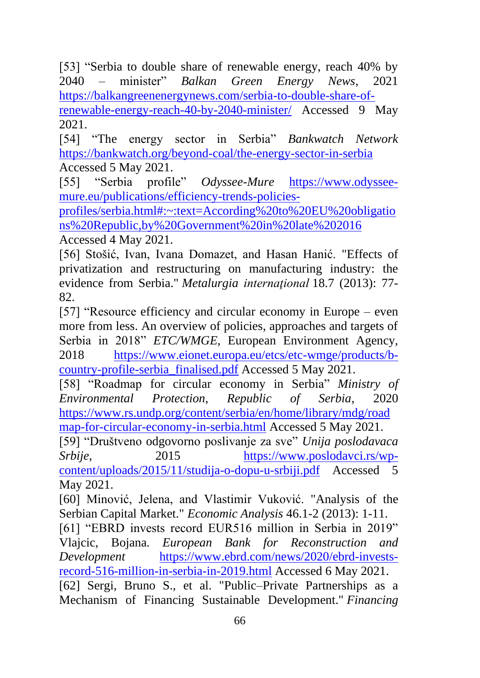[53] "Serbia to double share of renewable energy, reach 40% by 2040 – minister" *Balkan Green Energy News*, 2021 [https://balkangreenenergynews.com/serbia-to-double-share-of](https://balkangreenenergynews.com/serbia-to-double-share-of-renewable-energy-reach-40-by-2040-minister/)[renewable-energy-reach-40-by-2040-minister/](https://balkangreenenergynews.com/serbia-to-double-share-of-renewable-energy-reach-40-by-2040-minister/) Accessed 9 May 2021.

[54] "The energy sector in Serbia" *Bankwatch Network* <https://bankwatch.org/beyond-coal/the-energy-sector-in-serbia> Accessed 5 May 2021.

[55] "Serbia profile" *Odyssee-Mure* [https://www.odyssee](https://www.odyssee-mure.eu/publications/efficiency-trends-policies-profiles/serbia.html#:~:text=According%20to%20EU%20obligations%20Republic,by%20Government%20in%20late%202016)[mure.eu/publications/efficiency-trends-policies-](https://www.odyssee-mure.eu/publications/efficiency-trends-policies-profiles/serbia.html#:~:text=According%20to%20EU%20obligations%20Republic,by%20Government%20in%20late%202016)

[profiles/serbia.html#:~:text=According%20to%20EU%20obligatio](https://www.odyssee-mure.eu/publications/efficiency-trends-policies-profiles/serbia.html#:~:text=According%20to%20EU%20obligations%20Republic,by%20Government%20in%20late%202016) [ns%20Republic,by%20Government%20in%20late%202016](https://www.odyssee-mure.eu/publications/efficiency-trends-policies-profiles/serbia.html#:~:text=According%20to%20EU%20obligations%20Republic,by%20Government%20in%20late%202016) Accessed 4 May 2021.

[56] Stošić, Ivan, Ivana Domazet, and Hasan Hanić. "Effects of privatization and restructuring on manufacturing industry: the evidence from Serbia." *Metalurgia internaţional* 18.7 (2013): 77- 82.

[57] "Resource efficiency and circular economy in Europe – even more from less. An overview of policies, approaches and targets of Serbia in 2018" *ETC/WMGE*, European Environment Agency, 2018 [https://www.eionet.europa.eu/etcs/etc-wmge/products/b](https://www.eionet.europa.eu/etcs/etc-wmge/products/b-country-profile-serbia_finalised.pdf)[country-profile-serbia\\_finalised.pdf](https://www.eionet.europa.eu/etcs/etc-wmge/products/b-country-profile-serbia_finalised.pdf) Accessed 5 May 2021.

[58] "Roadmap for circular economy in Serbia" *Ministry of Environmental Protection, Republic of Serbia*, 2020 [https://www.rs.undp.org/content/serbia/en/home/library/mdg/road](https://www.rs.undp.org/content/serbia/en/home/library/mdg/roadmap-for-circular-economy-in-serbia.html)

[map-for-circular-economy-in-serbia.html](https://www.rs.undp.org/content/serbia/en/home/library/mdg/roadmap-for-circular-economy-in-serbia.html) Accessed 5 May 2021.

[59] "Društveno odgovorno poslivanje za sve" *Unija poslodavaca Srbije*, 2015 [https://www.poslodavci.rs/wp](https://www.poslodavci.rs/wp-content/uploads/2015/11/studija-o-dopu-u-srbiji.pdf)[content/uploads/2015/11/studija-o-dopu-u-srbiji.pdf](https://www.poslodavci.rs/wp-content/uploads/2015/11/studija-o-dopu-u-srbiji.pdf) Accessed 5 May 2021.

[60] Minović, Jelena, and Vlastimir Vuković. "Analysis of the Serbian Capital Market." *Economic Analysis* 46.1-2 (2013): 1-11.

[61] "EBRD invests record EUR516 million in Serbia in 2019" Vlajcic, Bojana. *European Bank for Reconstruction and Development* [https://www.ebrd.com/news/2020/ebrd-invests](https://www.ebrd.com/news/2020/ebrd-invests-record-516-million-in-serbia-in-2019.html)[record-516-million-in-serbia-in-2019.html](https://www.ebrd.com/news/2020/ebrd-invests-record-516-million-in-serbia-in-2019.html) Accessed 6 May 2021.

[62] Sergi, Bruno S., et al. "Public–Private Partnerships as a Mechanism of Financing Sustainable Development." *Financing*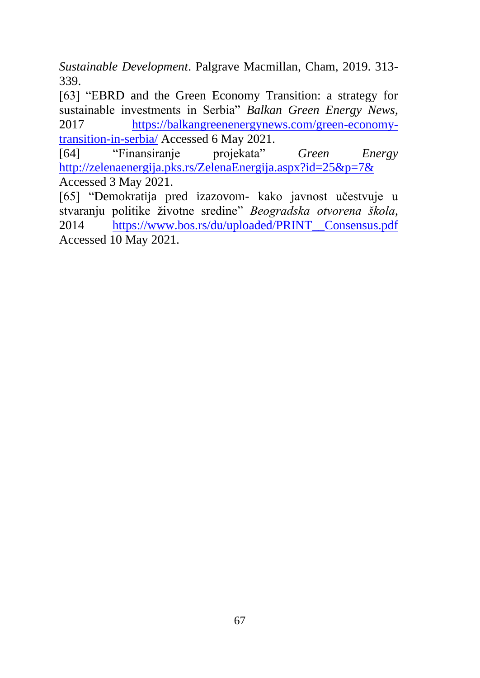*Sustainable Development*. Palgrave Macmillan, Cham, 2019. 313- 339.

[63] "EBRD and the Green Economy Transition: a strategy for sustainable investments in Serbia" *Balkan Green Energy News*, 2017 [https://balkangreenenergynews.com/green-economy](https://balkangreenenergynews.com/green-economy-transition-in-serbia/)[transition-in-serbia/](https://balkangreenenergynews.com/green-economy-transition-in-serbia/) Accessed 6 May 2021.

[64] "Finansiranje projekata" *Green Energy* <http://zelenaenergija.pks.rs/ZelenaEnergija.aspx?id=25&p=7&> Accessed 3 May 2021.

[65] "Demokratija pred izazovom- kako javnost učestvuje u stvaranju politike životne sredine" *Beogradska otvorena škola*, 2014 [https://www.bos.rs/du/uploaded/PRINT\\_\\_Consensus.pdf](https://www.bos.rs/du/uploaded/PRINT__Consensus.pdf) Accessed 10 May 2021.